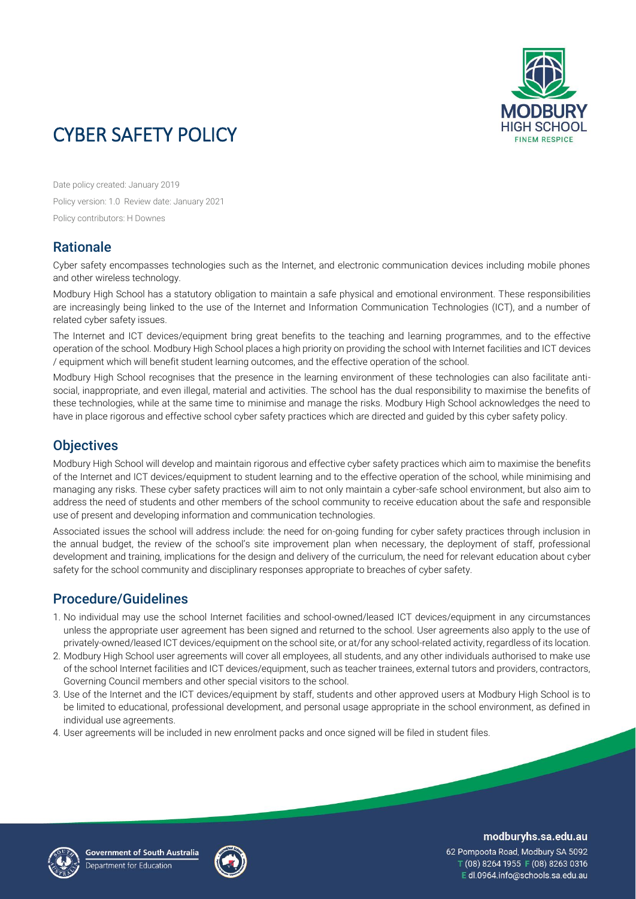

# CYBER SAFETY POLICY

Date policy created: January 2019 Policy version: 1.0 Review date: January 2021 Policy contributors: H Downes

### **Rationale**

Cyber safety encompasses technologies such as the Internet, and electronic communication devices including mobile phones and other wireless technology.

Modbury High School has a statutory obligation to maintain a safe physical and emotional environment. These responsibilities are increasingly being linked to the use of the Internet and Information Communication Technologies (ICT), and a number of related cyber safety issues.

The Internet and ICT devices/equipment bring great benefits to the teaching and learning programmes, and to the effective operation of the school. Modbury High School places a high priority on providing the school with Internet facilities and ICT devices / equipment which will benefit student learning outcomes, and the effective operation of the school.

Modbury High School recognises that the presence in the learning environment of these technologies can also facilitate antisocial, inappropriate, and even illegal, material and activities. The school has the dual responsibility to maximise the benefits of these technologies, while at the same time to minimise and manage the risks. Modbury High School acknowledges the need to have in place rigorous and effective school cyber safety practices which are directed and guided by this cyber safety policy.

### **Objectives**

Modbury High School will develop and maintain rigorous and effective cyber safety practices which aim to maximise the benefits of the Internet and ICT devices/equipment to student learning and to the effective operation of the school, while minimising and managing any risks. These cyber safety practices will aim to not only maintain a cyber-safe school environment, but also aim to address the need of students and other members of the school community to receive education about the safe and responsible use of present and developing information and communication technologies.

Associated issues the school will address include: the need for on-going funding for cyber safety practices through inclusion in the annual budget, the review of the school's site improvement plan when necessary, the deployment of staff, professional development and training, implications for the design and delivery of the curriculum, the need for relevant education about cyber safety for the school community and disciplinary responses appropriate to breaches of cyber safety.

## Procedure/Guidelines

- 1. No individual may use the school Internet facilities and school-owned/leased ICT devices/equipment in any circumstances unless the appropriate user agreement has been signed and returned to the school. User agreements also apply to the use of privately-owned/leased ICT devices/equipment on the school site, or at/for any school-related activity, regardless of its location.
- 2. Modbury High School user agreements will cover all employees, all students, and any other individuals authorised to make use of the school Internet facilities and ICT devices/equipment, such as teacher trainees, external tutors and providers, contractors, Governing Council members and other special visitors to the school.
- 3. Use of the Internet and the ICT devices/equipment by staff, students and other approved users at Modbury High School is to be limited to educational, professional development, and personal usage appropriate in the school environment, as defined in individual use agreements.
- 4. User agreements will be included in new enrolment packs and once signed will be filed in student files.





modburyhs.sa.edu.au

62 Pompoota Road, Modbury SA 5092 T (08) 8264 1955 F (08) 8263 0316 E dl.0964.info@schools.sa.edu.au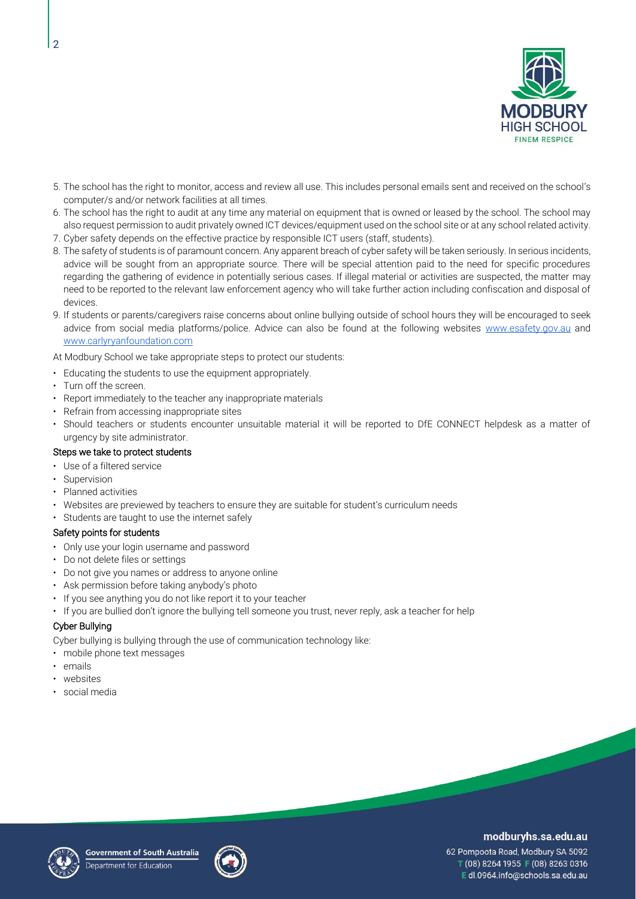

- 5. The school has the right to monitor, access and review all use. This includes personal emails sent and received on the school's computer/s and/or network facilities at all times.
- 6. The school has the right to audit at any time any material on equipment that is owned or leased by the school. The school may also request permission to audit privately owned ICT devices/equipment used on the school site or at any school related activity. 7. Cyber safety depends on the effective practice by responsible ICT users (staff, students).
- 
- 8. The safety of students is of paramount concern. Any apparent breach of cyber safety will be taken seriously. In serious incidents, advice will be sought from an appropriate source. There will be special attention paid to the need for specific procedures regarding the gathering of evidence in potentially serious cases. If illegal material or activities are suspected, the matter may need to be reported to the relevant law enforcement agency who will take further action including confiscation and disposal of devices.
- 9. If students or parents/caregivers raise concerns about online bullying outside of school hours they will be encouraged to seek advice from social media platforms/police. Advice can also be found at the following websites [www.esafety.gov.au](http://www.esafety.gov.au/) and [www.carlyryanfoundation.com](http://www.carlyryanfoundation.com/)

At Modbury School we take appropriate steps to protect our students:

- Educating the students to use the equipment appropriately.
- Turn off the screen.
- Report immediately to the teacher any inappropriate materials
- Refrain from accessing inappropriate sites
- Should teachers or students encounter unsuitable material it will be reported to DfE CONNECT helpdesk as a matter of urgency by site administrator.

#### Steps we take to protect students

- Use of a filtered service
- **Supervision**
- Planned activities
- Websites are previewed by teachers to ensure they are suitable for student's curriculum needs
- Students are taught to use the internet safely

#### Safety points for students

- Only use your login username and password
- Do not delete files or settings
- Do not give you names or address to anyone online
- Ask permission before taking anybody's photo
- If you see anything you do not like report it to your teacher
- If you are bullied don't ignore the bullying tell someone you trust, never reply, ask a teacher for help

#### Cyber Bullying

Cyber bullying is bullying through the use of communication technology like:

- mobile phone text messages
- emails
- websites
- social media





### modburyhs.sa.edu.au

62 Pompoota Road, Modbury SA 5092 T (08) 8264 1955 F (08) 8263 0316 Edl.0964.info@schools.sa.edu.au